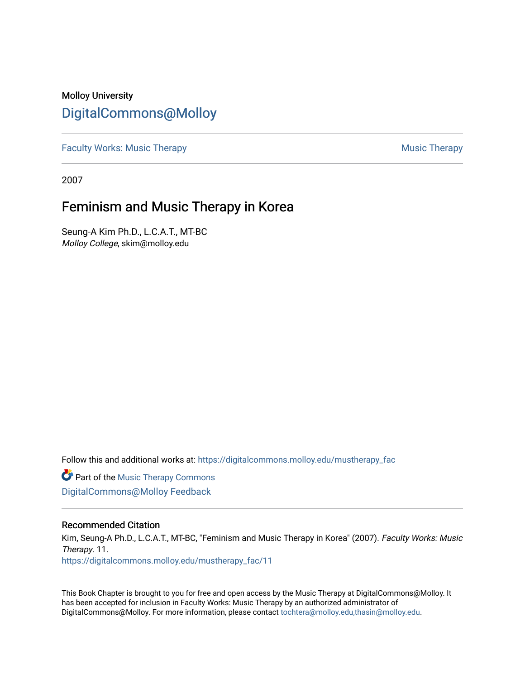### Molloy University [DigitalCommons@Molloy](https://digitalcommons.molloy.edu/)

[Faculty Works: Music Therapy](https://digitalcommons.molloy.edu/mustherapy_fac) **Music Therapy Music Therapy Music Therapy** 

2007

# Feminism and Music Therapy in Korea

Seung-A Kim Ph.D., L.C.A.T., MT-BC Molloy College, skim@molloy.edu

Follow this and additional works at: [https://digitalcommons.molloy.edu/mustherapy\\_fac](https://digitalcommons.molloy.edu/mustherapy_fac?utm_source=digitalcommons.molloy.edu%2Fmustherapy_fac%2F11&utm_medium=PDF&utm_campaign=PDFCoverPages)

**Part of the [Music Therapy Commons](https://network.bepress.com/hgg/discipline/1248?utm_source=digitalcommons.molloy.edu%2Fmustherapy_fac%2F11&utm_medium=PDF&utm_campaign=PDFCoverPages)** [DigitalCommons@Molloy Feedback](https://molloy.libwizard.com/f/dcfeedback)

#### Recommended Citation

Kim, Seung-A Ph.D., L.C.A.T., MT-BC, "Feminism and Music Therapy in Korea" (2007). Faculty Works: Music Therapy. 11.

[https://digitalcommons.molloy.edu/mustherapy\\_fac/11](https://digitalcommons.molloy.edu/mustherapy_fac/11?utm_source=digitalcommons.molloy.edu%2Fmustherapy_fac%2F11&utm_medium=PDF&utm_campaign=PDFCoverPages) 

This Book Chapter is brought to you for free and open access by the Music Therapy at DigitalCommons@Molloy. It has been accepted for inclusion in Faculty Works: Music Therapy by an authorized administrator of DigitalCommons@Molloy. For more information, please contact [tochtera@molloy.edu,thasin@molloy.edu.](mailto:tochtera@molloy.edu,thasin@molloy.edu)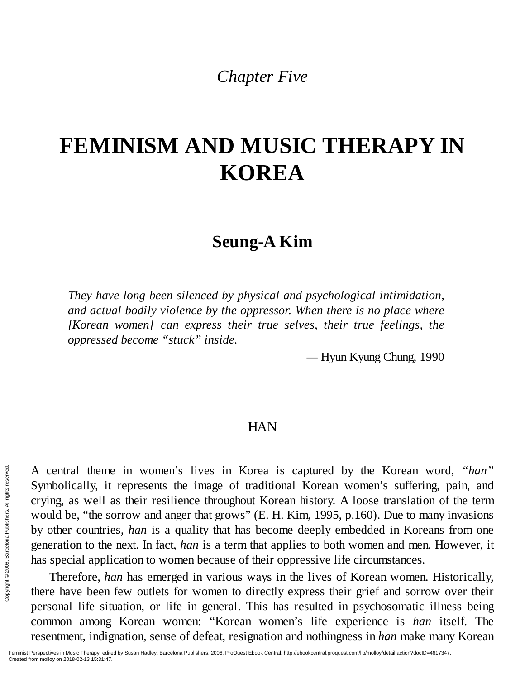*Chapter Five*

# **FEMINISM AND MUSIC THERAPY IN KOREA**

# **Seung-A Kim**

*They have long been silenced by physical and psychological intimidation, and actual bodily violence by the oppressor. When there is no place where [Korean women] can express their true selves, their true feelings, the oppressed become "stuck" inside.*

*—* Hyun Kyung Chung, 1990

### **HAN**

A central theme in women's lives in Korea is captured by the Korean word, *"han"* Symbolically, it represents the image of traditional Korean women's suffering, pain, and crying, as well as their resilience throughout Korean history. A loose translation of the term would be, "the sorrow and anger that grows" (E. H. Kim, 1995, p.160). Due to many invasions by other countries, *han* is a quality that has become deeply embedded in Koreans from one generation to the next. In fact, *han* is a term that applies to both women and men. However, it has special application to women because of their oppressive life circumstances. Exerces the model of the set of the set of the set of the set of the set of the set of the set of the set of the has special appli<br>  $\frac{2}{3}$  and the set of the set of the set of the set of the set of the set of the set o

Therefore, *han* has emerged in various ways in the lives of Korean women. Historically, there have been few outlets for women to directly express their grief and sorrow over their personal life situation, or life in general. This has resulted in psychosomatic illness being common among Korean women: "Korean women's life experience is *han* itself. The resentment, indignation, sense of defeat, resignation and nothingness in *han* make many Korean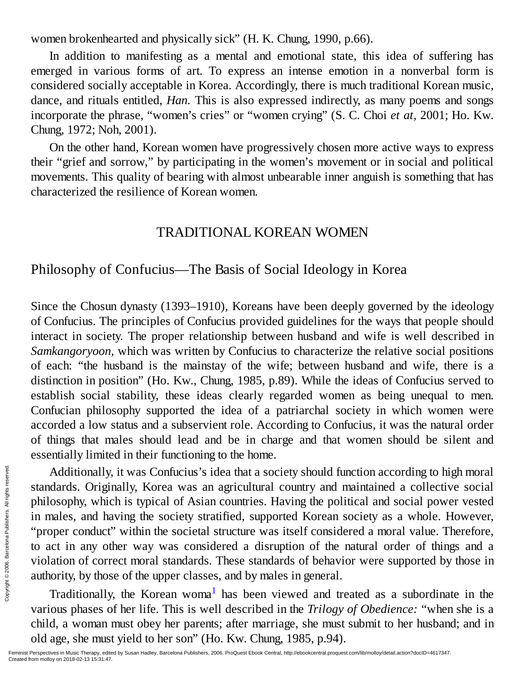women brokenhearted and physically sick" (H. K. Chung, 1990, p.66).

In addition to manifesting as a mental and emotional state, this idea of suffering has emerged in various forms of art. To express an intense emotion in a nonverbal form is considered socially acceptable in Korea. Accordingly, there is much traditional Korean music, dance, and rituals entitled, *Han.* This is also expressed indirectly, as many poems and songs incorporate the phrase, "women's cries" or "women crying" (S. C. Choi *et at,* 2001; Ho. Kw. Chung, 1972; Noh, 2001).

On the other hand, Korean women have progressively chosen more active ways to express their "grief and sorrow," by participating in the women's movement or in social and political movements. This quality of bearing with almost unbearable inner anguish is something that has characterized the resilience of Korean women.

### TRADITIONAL KOREAN WOMEN

### Philosophy of Confucius—The Basis of Social Ideology in Korea

Since the Chosun dynasty (1393–1910), Koreans have been deeply governed by the ideology of Confucius. The principles of Confucius provided guidelines for the ways that people should interact in society. The proper relationship between husband and wife is well described in *Samkangoryoon,* which was written by Confucius to characterize the relative social positions of each: "the husband is the mainstay of the wife; between husband and wife, there is a distinction in position" (Ho. Kw., Chung, 1985, p.89). While the ideas of Confucius served to establish social stability, these ideas clearly regarded women as being unequal to men. Confucian philosophy supported the idea of a patriarchal society in which women were accorded a low status and a subservient role. According to Confucius, it was the natural order of things that males should lead and be in charge and that women should be silent and essentially limited in their functioning to the home.

Additionally, it was Confucius's idea that a society should function according to high moral standards. Originally, Korea was an agricultural country and maintained a collective social philosophy, which is typical of Asian countries. Having the political and social power vested in males, and having the society stratified, supported Korean society as a whole. However, "proper conduct" within the societal structure was itself considered a moral value. Therefore, to act in any other way was considered a disruption of the natural order of things and a violation of correct moral standards. These standards of behavior were supported by those in authority, by those of the upper classes, and by males in general. Examples and and the set of the set of the set of the set of the set of the set of the set of the set of the set of the set of the set of the set of the set of the set of the set of the set of the set of the set of the se

Traditionally, the Korean woma<sup>1</sup> has been viewed and treated as a subordinate in the various phases of her life. This is well described in the *Trilogy of Obedience:* "when she is a child, a woman must obey her parents; after marriage, she must submit to her husband; and in old age, she must yield to her son" (Ho. Kw. Chung, 1985, p.94).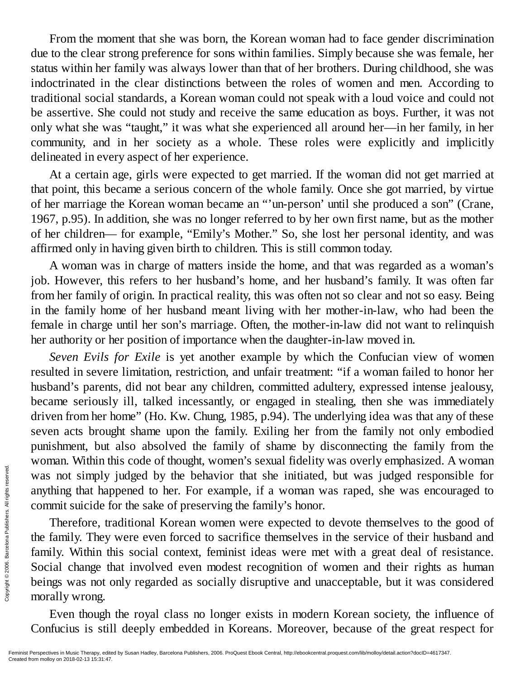From the moment that she was born, the Korean woman had to face gender discrimination due to the clear strong preference for sons within families. Simply because she was female, her status within her family was always lower than that of her brothers. During childhood, she was indoctrinated in the clear distinctions between the roles of women and men. According to traditional social standards, a Korean woman could not speak with a loud voice and could not be assertive. She could not study and receive the same education as boys. Further, it was not only what she was "taught," it was what she experienced all around her—in her family, in her community, and in her society as a whole. These roles were explicitly and implicitly delineated in every aspect of her experience.

At a certain age, girls were expected to get married. If the woman did not get married at that point, this became a serious concern of the whole family. Once she got married, by virtue of her marriage the Korean woman became an "'un-person' until she produced a son" (Crane, 1967, p.95). In addition, she was no longer referred to by her own first name, but as the mother of her children— for example, "Emily's Mother." So, she lost her personal identity, and was affirmed only in having given birth to children. This is still common today.

A woman was in charge of matters inside the home, and that was regarded as a woman's job. However, this refers to her husband's home, and her husband's family. It was often far from her family of origin. In practical reality, this was often not so clear and not so easy. Being in the family home of her husband meant living with her mother-in-law, who had been the female in charge until her son's marriage. Often, the mother-in-law did not want to relinquish her authority or her position of importance when the daughter-in-law moved in.

*Seven Evils for Exile* is yet another example by which the Confucian view of women resulted in severe limitation, restriction, and unfair treatment: "if a woman failed to honor her husband's parents, did not bear any children, committed adultery, expressed intense jealousy, became seriously ill, talked incessantly, or engaged in stealing, then she was immediately driven from her home" (Ho. Kw. Chung, 1985, p.94). The underlying idea was that any of these seven acts brought shame upon the family. Exiling her from the family not only embodied punishment, but also absolved the family of shame by disconnecting the family from the woman. Within this code of thought, women's sexual fidelity was overly emphasized. A woman was not simply judged by the behavior that she initiated, but was judged responsible for anything that happened to her. For example, if a woman was raped, she was encouraged to commit suicide for the sake of preserving the family's honor.

Therefore, traditional Korean women were expected to devote themselves to the good of the family. They were even forced to sacrifice themselves in the service of their husband and family. Within this social context, feminist ideas were met with a great deal of resistance. Social change that involved even modest recognition of women and their rights as human beings was not only regarded as socially disruptive and unacceptable, but it was considered morally wrong. Was not simply<br>
anything that hap<br>
commit suicide f<br>
commit suicide f<br>
Therefore, tr<br>
the family. They<br>
family. Within the<br>
Social change the<br>
Social change the<br>
beings was not demonsity wrong.<br>
Even though<br>
Confucius is

Even though the royal class no longer exists in modern Korean society, the influence of Confucius is still deeply embedded in Koreans. Moreover, because of the great respect for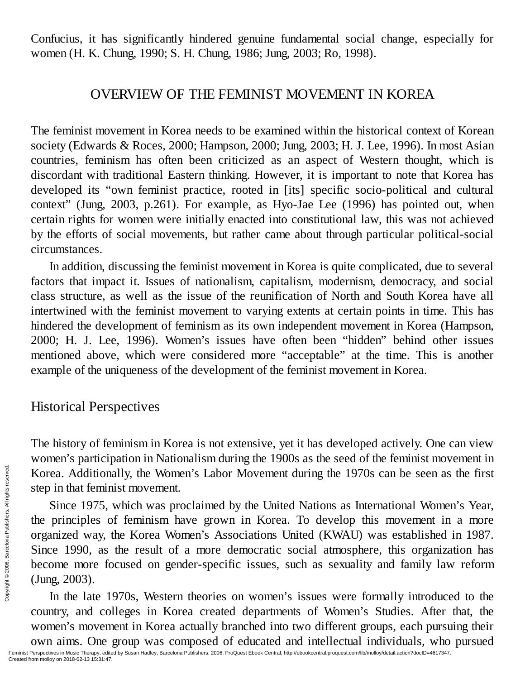Confucius, it has significantly hindered genuine fundamental social change, especially for women (H. K. Chung, 1990; S. H. Chung, 1986; Jung, 2003; Ro, 1998).

### OVERVIEW OF THE FEMINIST MOVEMENT IN KOREA

The feminist movement in Korea needs to be examined within the historical context of Korean society (Edwards & Roces, 2000; Hampson, 2000; Jung, 2003; H. J. Lee, 1996). In most Asian countries, feminism has often been criticized as an aspect of Western thought, which is discordant with traditional Eastern thinking. However, it is important to note that Korea has developed its "own feminist practice, rooted in [its] specific socio-political and cultural context" (Jung, 2003, p.261). For example, as Hyo-Jae Lee (1996) has pointed out, when certain rights for women were initially enacted into constitutional law, this was not achieved by the efforts of social movements, but rather came about through particular political-social circumstances.

In addition, discussing the feminist movement in Korea is quite complicated, due to several factors that impact it. Issues of nationalism, capitalism, modernism, democracy, and social class structure, as well as the issue of the reunification of North and South Korea have all intertwined with the feminist movement to varying extents at certain points in time. This has hindered the development of feminism as its own independent movement in Korea (Hampson, 2000; H. J. Lee, 1996). Women's issues have often been "hidden" behind other issues mentioned above, which were considered more "acceptable" at the time. This is another example of the uniqueness of the development of the feminist movement in Korea.

### Historical Perspectives

The history of feminism in Korea is not extensive, yet it has developed actively. One can view women's participation in Nationalism during the 1900s as the seed of the feminist movement in Korea. Additionally, the Women's Labor Movement during the 1970s can be seen as the first step in that feminist movement.

Since 1975, which was proclaimed by the United Nations as International Women's Year, the principles of feminism have grown in Korea. To develop this movement in a more organized way, the Korea Women's Associations United (KWAU) was established in 1987. Since 1990, as the result of a more democratic social atmosphere, this organization has become more focused on gender-specific issues, such as sexuality and family law reform (Jung, 2003). Example 1<br>
Experimental Since 1975,<br>
the principles of organized way, 1<br>
Since 1990, as<br>
become more for (Jung, 2003).<br>
In the late 1<br>
country, and columents respectively and the state of the state of the contration Publi

In the late 1970s, Western theories on women's issues were formally introduced to the country, and colleges in Korea created departments of Women's Studies. After that, the women's movement in Korea actually branched into two different groups, each pursuing their own aims. One group was composed of educated and intellectual individuals, who pursued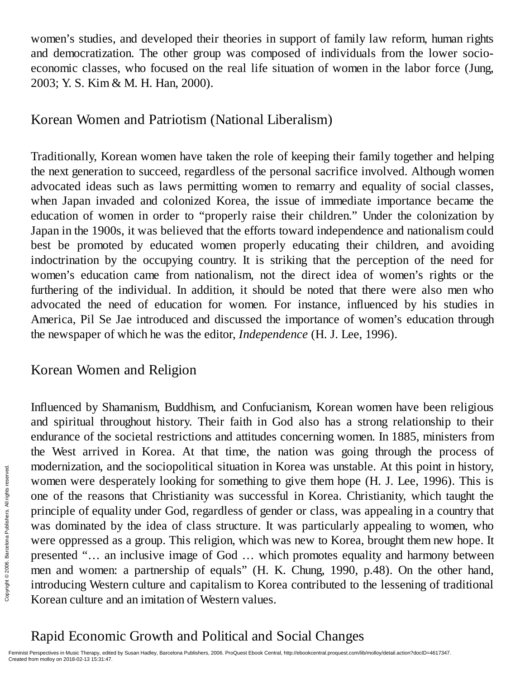women's studies, and developed their theories in support of family law reform, human rights and democratization. The other group was composed of individuals from the lower socioeconomic classes, who focused on the real life situation of women in the labor force (Jung, 2003; Y. S. Kim & M. H. Han, 2000).

### Korean Women and Patriotism (National Liberalism)

Traditionally, Korean women have taken the role of keeping their family together and helping the next generation to succeed, regardless of the personal sacrifice involved. Although women advocated ideas such as laws permitting women to remarry and equality of social classes, when Japan invaded and colonized Korea, the issue of immediate importance became the education of women in order to "properly raise their children." Under the colonization by Japan in the 1900s, it was believed that the efforts toward independence and nationalism could best be promoted by educated women properly educating their children, and avoiding indoctrination by the occupying country. It is striking that the perception of the need for women's education came from nationalism, not the direct idea of women's rights or the furthering of the individual. In addition, it should be noted that there were also men who advocated the need of education for women. For instance, influenced by his studies in America, Pil Se Jae introduced and discussed the importance of women's education through the newspaper of which he was the editor, *Independence* (H. J. Lee, 1996).

### Korean Women and Religion

Influenced by Shamanism, Buddhism, and Confucianism, Korean women have been religious and spiritual throughout history. Their faith in God also has a strong relationship to their endurance of the societal restrictions and attitudes concerning women. In 1885, ministers from the West arrived in Korea. At that time, the nation was going through the process of modernization, and the sociopolitical situation in Korea was unstable. At this point in history, women were desperately looking for something to give them hope (H. J. Lee, 1996). This is one of the reasons that Christianity was successful in Korea. Christianity, which taught the principle of equality under God, regardless of gender or class, was appealing in a country that was dominated by the idea of class structure. It was particularly appealing to women, who were oppressed as a group. This religion, which was new to Korea, brought them new hope. It presented "… an inclusive image of God … which promotes equality and harmony between men and women: a partnership of equals" (H. K. Chung, 1990, p.48). On the other hand, introducing Western culture and capitalism to Korea contributed to the lessening of traditional Korean culture and an imitation of Western values. From Modernization, a<br>
Encore of the reason principle of equal<br>
Encore oppressed<br>
Encore oppressed<br>
Presented "... an<br>
Encore oppressed<br>
Presented "... an<br>
Encore and women<br>
Entroducing West<br>
Korean culture a<br>
Rapid Econo

# Rapid Economic Growth and Political and Social Changes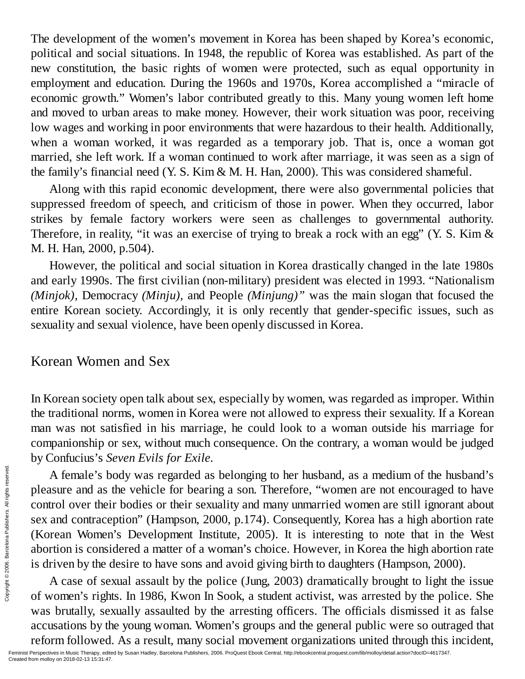The development of the women's movement in Korea has been shaped by Korea's economic, political and social situations. In 1948, the republic of Korea was established. As part of the new constitution, the basic rights of women were protected, such as equal opportunity in employment and education. During the 1960s and 1970s, Korea accomplished a "miracle of economic growth." Women's labor contributed greatly to this. Many young women left home and moved to urban areas to make money. However, their work situation was poor, receiving low wages and working in poor environments that were hazardous to their health. Additionally, when a woman worked, it was regarded as a temporary job. That is, once a woman got married, she left work. If a woman continued to work after marriage, it was seen as a sign of the family's financial need (Y. S. Kim & M. H. Han, 2000). This was considered shameful.

Along with this rapid economic development, there were also governmental policies that suppressed freedom of speech, and criticism of those in power. When they occurred, labor strikes by female factory workers were seen as challenges to governmental authority. Therefore, in reality, "it was an exercise of trying to break a rock with an egg" (Y. S. Kim & M. H. Han, 2000, p.504).

However, the political and social situation in Korea drastically changed in the late 1980s and early 1990s. The first civilian (non-military) president was elected in 1993. "Nationalism *(Minjok),* Democracy *(Minju),* and People *(Minjung)"* was the main slogan that focused the entire Korean society. Accordingly, it is only recently that gender-specific issues, such as sexuality and sexual violence, have been openly discussed in Korea.

### Korean Women and Sex

In Korean society open talk about sex, especially by women, was regarded as improper. Within the traditional norms, women in Korea were not allowed to express their sexuality. If a Korean man was not satisfied in his marriage, he could look to a woman outside his marriage for companionship or sex, without much consequence. On the contrary, a woman would be judged by Confucius's *Seven Evils for Exile.*

A female's body was regarded as belonging to her husband, as a medium of the husband's pleasure and as the vehicle for bearing a son. Therefore, "women are not encouraged to have control over their bodies or their sexuality and many unmarried women are still ignorant about sex and contraception" (Hampson, 2000, p.174). Consequently, Korea has a high abortion rate (Korean Women's Development Institute, 2005). It is interesting to note that in the West abortion is considered a matter of a woman's choice. However, in Korea the high abortion rate is driven by the desire to have sons and avoid giving birth to daughters (Hampson, 2000). Example  $\frac{1}{2}$  A female's b<br>
pleasure and as a<br>
control over thei<br>
sex and contrace<br>
(Korean Women<br>
abortion is consi<br>
is driven by the c<br>
A case of sex<br>
of women's right<br>
was brutally, sex<br>
accusations by th<br>
reform f

A case of sexual assault by the police (Jung, 2003) dramatically brought to light the issue of women's rights. In 1986, Kwon In Sook, a student activist, was arrested by the police. She was brutally, sexually assaulted by the arresting officers. The officials dismissed it as false accusations by the young woman. Women's groups and the general public were so outraged that reform followed. As a result, many social movement organizations united through this incident,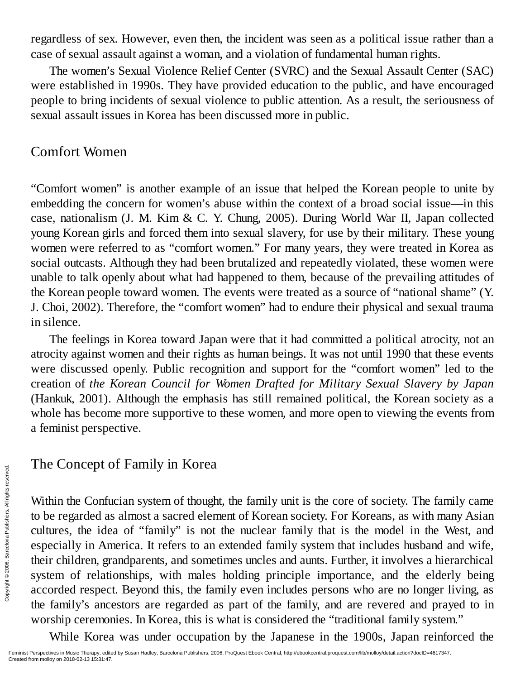regardless of sex. However, even then, the incident was seen as a political issue rather than a case of sexual assault against a woman, and a violation of fundamental human rights.

The women's Sexual Violence Relief Center (SVRC) and the Sexual Assault Center (SAC) were established in 1990s. They have provided education to the public, and have encouraged people to bring incidents of sexual violence to public attention. As a result, the seriousness of sexual assault issues in Korea has been discussed more in public.

### Comfort Women

"Comfort women" is another example of an issue that helped the Korean people to unite by embedding the concern for women's abuse within the context of a broad social issue—in this case, nationalism (J. M. Kim & C. Y. Chung, 2005). During World War II, Japan collected young Korean girls and forced them into sexual slavery, for use by their military. These young women were referred to as "comfort women." For many years, they were treated in Korea as social outcasts. Although they had been brutalized and repeatedly violated, these women were unable to talk openly about what had happened to them, because of the prevailing attitudes of the Korean people toward women. The events were treated as a source of "national shame" (Y. J. Choi, 2002). Therefore, the "comfort women" had to endure their physical and sexual trauma in silence.

The feelings in Korea toward Japan were that it had committed a political atrocity, not an atrocity against women and their rights as human beings. It was not until 1990 that these events were discussed openly. Public recognition and support for the "comfort women" led to the creation of *the Korean Council for Women Drafted for Military Sexual Slavery by Japan* (Hankuk, 2001). Although the emphasis has still remained political, the Korean society as a whole has become more supportive to these women, and more open to viewing the events from a feminist perspective.

### The Concept of Family in Korea

Within the Confucian system of thought, the family unit is the core of society. The family came to be regarded as almost a sacred element of Korean society. For Koreans, as with many Asian cultures, the idea of "family" is not the nuclear family that is the model in the West, and especially in America. It refers to an extended family system that includes husband and wife, their children, grandparents, and sometimes uncles and aunts. Further, it involves a hierarchical system of relationships, with males holding principle importance, and the elderly being accorded respect. Beyond this, the family even includes persons who are no longer living, as the family's ancestors are regarded as part of the family, and are revered and prayed to in worship ceremonies. In Korea, this is what is considered the "traditional family system." From the Conforce of the confunction of the state  $\frac{2}{3}$  and  $\frac{2}{3}$  and  $\frac{2}{3}$  arcelonal public confunding the family's ancel worship ceremon While Korea Feminist Perspectives in Music Therapy, edite Created from

While Korea was under occupation by the Japanese in the 1900s, Japan reinforced the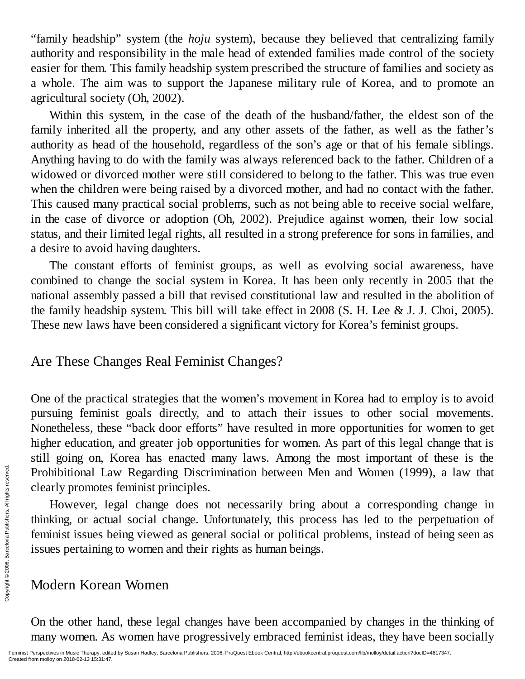"family headship" system (the *hoju* system), because they believed that centralizing family authority and responsibility in the male head of extended families made control of the society easier for them. This family headship system prescribed the structure of families and society as a whole. The aim was to support the Japanese military rule of Korea, and to promote an agricultural society (Oh, 2002).

Within this system, in the case of the death of the husband/father, the eldest son of the family inherited all the property, and any other assets of the father, as well as the father's authority as head of the household, regardless of the son's age or that of his female siblings. Anything having to do with the family was always referenced back to the father. Children of a widowed or divorced mother were still considered to belong to the father. This was true even when the children were being raised by a divorced mother, and had no contact with the father. This caused many practical social problems, such as not being able to receive social welfare, in the case of divorce or adoption (Oh, 2002). Prejudice against women, their low social status, and their limited legal rights, all resulted in a strong preference for sons in families, and a desire to avoid having daughters.

The constant efforts of feminist groups, as well as evolving social awareness, have combined to change the social system in Korea. It has been only recently in 2005 that the national assembly passed a bill that revised constitutional law and resulted in the abolition of the family headship system. This bill will take effect in 2008 (S. H. Lee & J. J. Choi, 2005). These new laws have been considered a significant victory for Korea's feminist groups.

### Are These Changes Real Feminist Changes?

One of the practical strategies that the women's movement in Korea had to employ is to avoid pursuing feminist goals directly, and to attach their issues to other social movements. Nonetheless, these "back door efforts" have resulted in more opportunities for women to get higher education, and greater job opportunities for women. As part of this legal change that is still going on, Korea has enacted many laws. Among the most important of these is the Prohibitional Law Regarding Discrimination between Men and Women (1999), a law that clearly promotes feminist principles.

However, legal change does not necessarily bring about a corresponding change in thinking, or actual social change. Unfortunately, this process has led to the perpetuation of feminist issues being viewed as general social or political problems, instead of being seen as issues pertaining to women and their rights as human beings. Example 2018<br>
Example 2018<br>
Example 2019<br>
Example 2018<br>
Examples 2018<br>
Examples 2018-02-13 15:31:47.<br>
Created from molloy on 2018-02-13 15:31:47.<br>
Created from molloy on 2018-02-13 15:31:47.<br>
Created from molloy on 2018-0

# Modern Korean Women

On the other hand, these legal changes have been accompanied by changes in the thinking of many women. As women have progressively embraced feminist ideas, they have been socially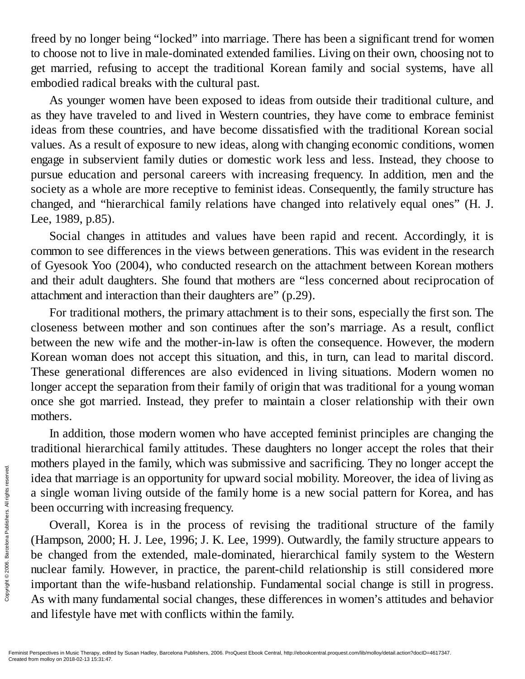freed by no longer being "locked" into marriage. There has been a significant trend for women to choose not to live in male-dominated extended families. Living on their own, choosing not to get married, refusing to accept the traditional Korean family and social systems, have all embodied radical breaks with the cultural past.

As younger women have been exposed to ideas from outside their traditional culture, and as they have traveled to and lived in Western countries, they have come to embrace feminist ideas from these countries, and have become dissatisfied with the traditional Korean social values. As a result of exposure to new ideas, along with changing economic conditions, women engage in subservient family duties or domestic work less and less. Instead, they choose to pursue education and personal careers with increasing frequency. In addition, men and the society as a whole are more receptive to feminist ideas. Consequently, the family structure has changed, and "hierarchical family relations have changed into relatively equal ones" (H. J. Lee, 1989, p.85).

Social changes in attitudes and values have been rapid and recent. Accordingly, it is common to see differences in the views between generations. This was evident in the research of Gyesook Yoo (2004), who conducted research on the attachment between Korean mothers and their adult daughters. She found that mothers are "less concerned about reciprocation of attachment and interaction than their daughters are" (p.29).

For traditional mothers, the primary attachment is to their sons, especially the first son. The closeness between mother and son continues after the son's marriage. As a result, conflict between the new wife and the mother-in-law is often the consequence. However, the modern Korean woman does not accept this situation, and this, in turn, can lead to marital discord. These generational differences are also evidenced in living situations. Modern women no longer accept the separation from their family of origin that was traditional for a young woman once she got married. Instead, they prefer to maintain a closer relationship with their own mothers.

In addition, those modern women who have accepted feminist principles are changing the traditional hierarchical family attitudes. These daughters no longer accept the roles that their mothers played in the family, which was submissive and sacrificing. They no longer accept the idea that marriage is an opportunity for upward social mobility. Moreover, the idea of living as a single woman living outside of the family home is a new social pattern for Korea, and has been occurring with increasing frequency.

Overall, Korea is in the process of revising the traditional structure of the family (Hampson, 2000; H. J. Lee, 1996; J. K. Lee, 1999). Outwardly, the family structure appears to be changed from the extended, male-dominated, hierarchical family system to the Western nuclear family. However, in practice, the parent-child relationship is still considered more important than the wife-husband relationship. Fundamental social change is still in progress. As with many fundamental social changes, these differences in women's attitudes and behavior and lifestyle have met with conflicts within the family. Framinist Perspectives in Music Therapy, edited from molloy on 2018-02-13 15:31:47.<br>
Framinist Perspectives in Music Therapy, edited from molloy on 2018-02-13 15:31:47.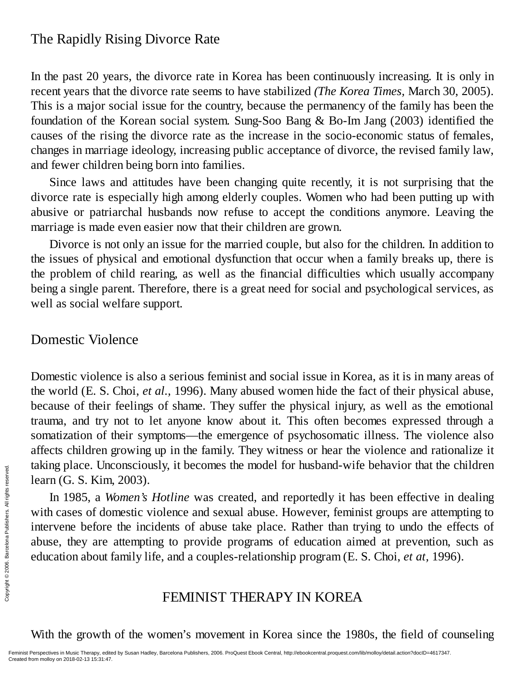### The Rapidly Rising Divorce Rate

In the past 20 years, the divorce rate in Korea has been continuously increasing. It is only in recent years that the divorce rate seems to have stabilized *(The Korea Times,* March 30, 2005). This is a major social issue for the country, because the permanency of the family has been the foundation of the Korean social system. Sung-Soo Bang & Bo-Im Jang (2003) identified the causes of the rising the divorce rate as the increase in the socio-economic status of females, changes in marriage ideology, increasing public acceptance of divorce, the revised family law, and fewer children being born into families.

Since laws and attitudes have been changing quite recently, it is not surprising that the divorce rate is especially high among elderly couples. Women who had been putting up with abusive or patriarchal husbands now refuse to accept the conditions anymore. Leaving the marriage is made even easier now that their children are grown.

Divorce is not only an issue for the married couple, but also for the children. In addition to the issues of physical and emotional dysfunction that occur when a family breaks up, there is the problem of child rearing, as well as the financial difficulties which usually accompany being a single parent. Therefore, there is a great need for social and psychological services, as well as social welfare support.

### Domestic Violence

Domestic violence is also a serious feminist and social issue in Korea, as it is in many areas of the world (E. S. Choi, *et al.,* 1996). Many abused women hide the fact of their physical abuse, because of their feelings of shame. They suffer the physical injury, as well as the emotional trauma, and try not to let anyone know about it. This often becomes expressed through a somatization of their symptoms—the emergence of psychosomatic illness. The violence also affects children growing up in the family. They witness or hear the violence and rationalize it taking place. Unconsciously, it becomes the model for husband-wife behavior that the children learn (G. S. Kim, 2003).

In 1985, a *Women's Hotline* was created, and reportedly it has been effective in dealing with cases of domestic violence and sexual abuse. However, feminist groups are attempting to intervene before the incidents of abuse take place. Rather than trying to undo the effects of abuse, they are attempting to provide programs of education aimed at prevention, such as education about family life, and a couples-relationship program (E. S. Choi, *et at,* 1996). Example 12: Crice  $\frac{1}{2}$  is  $\frac{1}{2}$  intervene before<br>  $\frac{2}{2}$  intervene before<br>
abuse, they are<br>
education about 1<br>  $\frac{2}{2}$ <br>  $\frac{2}{2}$ <br>  $\frac{2}{2}$ <br>  $\frac{2}{2}$ <br>  $\frac{2}{2}$ <br>  $\frac{2}{2}$ <br>  $\frac{2}{2}$ <br>  $\frac{2}{2}$ <br>  $\frac{2}{2}$ <br>

### FEMINIST THERAPY IN KOREA

With the growth of the women's movement in Korea since the 1980s, the field of counseling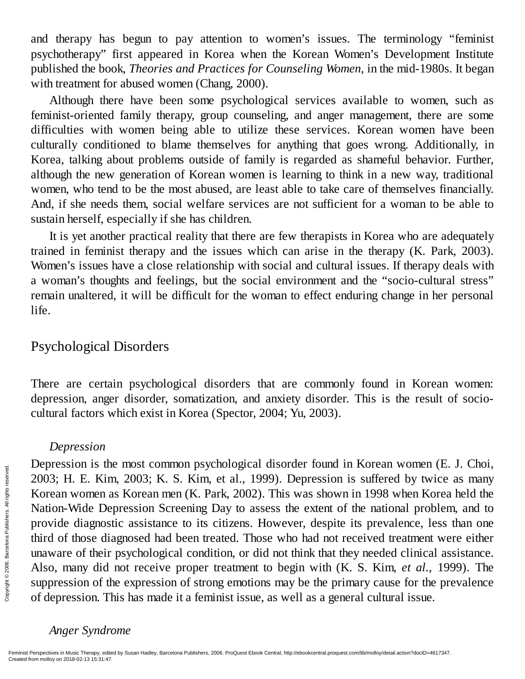and therapy has begun to pay attention to women's issues. The terminology "feminist psychotherapy" first appeared in Korea when the Korean Women's Development Institute published the book, *Theories and Practices for Counseling Women,* in the mid-1980s. It began with treatment for abused women (Chang, 2000).

Although there have been some psychological services available to women, such as feminist-oriented family therapy, group counseling, and anger management, there are some difficulties with women being able to utilize these services. Korean women have been culturally conditioned to blame themselves for anything that goes wrong. Additionally, in Korea, talking about problems outside of family is regarded as shameful behavior. Further, although the new generation of Korean women is learning to think in a new way, traditional women, who tend to be the most abused, are least able to take care of themselves financially. And, if she needs them, social welfare services are not sufficient for a woman to be able to sustain herself, especially if she has children.

It is yet another practical reality that there are few therapists in Korea who are adequately trained in feminist therapy and the issues which can arise in the therapy (K. Park, 2003). Women's issues have a close relationship with social and cultural issues. If therapy deals with a woman's thoughts and feelings, but the social environment and the "socio-cultural stress" remain unaltered, it will be difficult for the woman to effect enduring change in her personal life.

### Psychological Disorders

There are certain psychological disorders that are commonly found in Korean women: depression, anger disorder, somatization, and anxiety disorder. This is the result of sociocultural factors which exist in Korea (Spector, 2004; Yu, 2003).

#### *Depression*

Depression is the most common psychological disorder found in Korean women (E. J. Choi, 2003; H. E. Kim, 2003; K. S. Kim, et al., 1999). Depression is suffered by twice as many Korean women as Korean men (K. Park, 2002). This was shown in 1998 when Korea held the Nation-Wide Depression Screening Day to assess the extent of the national problem, and to provide diagnostic assistance to its citizens. However, despite its prevalence, less than one third of those diagnosed had been treated. Those who had not received treatment were either unaware of their psychological condition, or did not think that they needed clinical assistance. Also, many did not receive proper treatment to begin with (K. S. Kim, *et al.,* 1999). The suppression of the expression of strong emotions may be the primary cause for the prevalence of depression. This has made it a feminist issue, as well as a general cultural issue. Expression is different and the set of the set of the provide diagnosis third of those diagnosis third of those diagnosis third of those diagnosis reserved. Also, many did suppression of the compression. The of depression

#### *Anger Syndrome*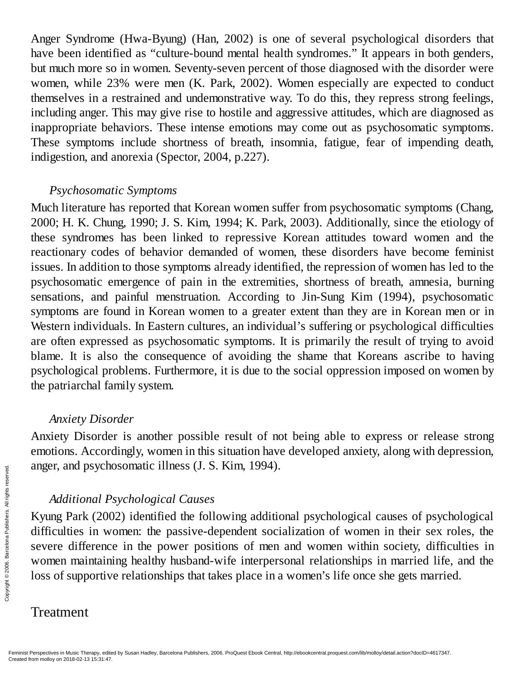Anger Syndrome (Hwa-Byung) (Han, 2002) is one of several psychological disorders that have been identified as "culture-bound mental health syndromes." It appears in both genders, but much more so in women. Seventy-seven percent of those diagnosed with the disorder were women, while 23% were men (K. Park, 2002). Women especially are expected to conduct themselves in a restrained and undemonstrative way. To do this, they repress strong feelings, including anger. This may give rise to hostile and aggressive attitudes, which are diagnosed as inappropriate behaviors. These intense emotions may come out as psychosomatic symptoms. These symptoms include shortness of breath, insomnia, fatigue, fear of impending death, indigestion, and anorexia (Spector, 2004, p.227).

#### *Psychosomatic Symptoms*

Much literature has reported that Korean women suffer from psychosomatic symptoms (Chang, 2000; H. K. Chung, 1990; J. S. Kim, 1994; K. Park, 2003). Additionally, since the etiology of these syndromes has been linked to repressive Korean attitudes toward women and the reactionary codes of behavior demanded of women, these disorders have become feminist issues. In addition to those symptoms already identified, the repression of women has led to the psychosomatic emergence of pain in the extremities, shortness of breath, amnesia, burning sensations, and painful menstruation. According to Jin-Sung Kim (1994), psychosomatic symptoms are found in Korean women to a greater extent than they are in Korean men or in Western individuals. In Eastern cultures, an individual's suffering or psychological difficulties are often expressed as psychosomatic symptoms. It is primarily the result of trying to avoid blame. It is also the consequence of avoiding the shame that Koreans ascribe to having psychological problems. Furthermore, it is due to the social oppression imposed on women by the patriarchal family system.

### *Anxiety Disorder*

Anxiety Disorder is another possible result of not being able to express or release strong emotions. Accordingly, women in this situation have developed anxiety, along with depression, anger, and psychosomatic illness (J. S. Kim, 1994).

### *Additional Psychological Causes*

Kyung Park (2002) identified the following additional psychological causes of psychological difficulties in women: the passive-dependent socialization of women in their sex roles, the severe difference in the power positions of men and women within society, difficulties in women maintaining healthy husband-wife interpersonal relationships in married life, and the loss of supportive relationships that takes place in a women's life once she gets married. Example: Additional P<br>  $\frac{2}{3}$ <br>  $\frac{2}{3}$ <br>  $\frac{2}{3}$ <br>  $\frac{2}{3}$ <br>  $\frac{2}{3}$ <br>  $\frac{2}{3}$ <br>  $\frac{2}{3}$ <br>  $\frac{2}{3}$ <br>  $\frac{2}{3}$ <br>  $\frac{2}{3}$ <br>  $\frac{2}{3}$ <br>  $\frac{2}{3}$ <br>  $\frac{2}{3}$ <br>  $\frac{2}{3}$ <br>  $\frac{2}{3}$ <br>  $\frac{2}{3}$ <br>  $\frac{2}{3}$ <br>  $\frac{2}{3}$ <br>

### Treatment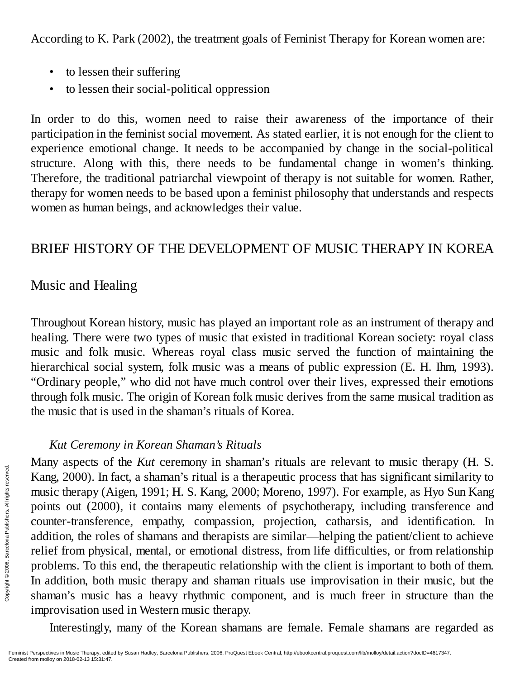According to K. Park (2002), the treatment goals of Feminist Therapy for Korean women are:

- to lessen their suffering
- to lessen their social-political oppression

In order to do this, women need to raise their awareness of the importance of their participation in the feminist social movement. As stated earlier, it is not enough for the client to experience emotional change. It needs to be accompanied by change in the social-political structure. Along with this, there needs to be fundamental change in women's thinking. Therefore, the traditional patriarchal viewpoint of therapy is not suitable for women. Rather, therapy for women needs to be based upon a feminist philosophy that understands and respects women as human beings, and acknowledges their value.

# BRIEF HISTORY OF THE DEVELOPMENT OF MUSIC THERAPY IN KOREA

# Music and Healing

Throughout Korean history, music has played an important role as an instrument of therapy and healing. There were two types of music that existed in traditional Korean society: royal class music and folk music. Whereas royal class music served the function of maintaining the hierarchical social system, folk music was a means of public expression (E. H. Ihm, 1993). "Ordinary people," who did not have much control over their lives, expressed their emotions through folk music. The origin of Korean folk music derives from the same musical tradition as the music that is used in the shaman's rituals of Korea.

### *Kut Ceremony in Korean Shaman's Rituals*

Many aspects of the *Kut* ceremony in shaman's rituals are relevant to music therapy (H. S. Kang, 2000). In fact, a shaman's ritual is a therapeutic process that has significant similarity to music therapy (Aigen, 1991; H. S. Kang, 2000; Moreno, 1997). For example, as Hyo Sun Kang points out (2000), it contains many elements of psychotherapy, including transference and counter-transference, empathy, compassion, projection, catharsis, and identification. In addition, the roles of shamans and therapists are similar—helping the patient/client to achieve relief from physical, mental, or emotional distress, from life difficulties, or from relationship problems. To this end, the therapeutic relationship with the client is important to both of them. In addition, both music therapy and shaman rituals use improvisation in their music, but the shaman's music has a heavy rhythmic component, and is much freer in structure than the improvisation used in Western music therapy. Example 2000). In 1<br>
Entity disperses on 2000.<br>
Counter-transfered addition, the role<br>
relief from physical problems. To thing<br>
the dispersion Relief from physical problems. To thing<br>
In addition, both shaman's music impr

Interestingly, many of the Korean shamans are female. Female shamans are regarded as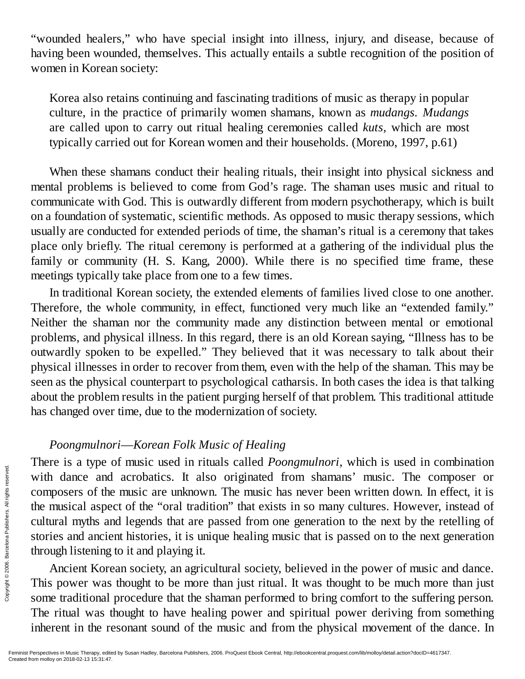"wounded healers," who have special insight into illness, injury, and disease, because of having been wounded, themselves. This actually entails a subtle recognition of the position of women in Korean society:

Korea also retains continuing and fascinating traditions of music as therapy in popular culture, in the practice of primarily women shamans, known as *mudangs. Mudangs* are called upon to carry out ritual healing ceremonies called *kuts,* which are most typically carried out for Korean women and their households. (Moreno, 1997, p.61)

When these shamans conduct their healing rituals, their insight into physical sickness and mental problems is believed to come from God's rage. The shaman uses music and ritual to communicate with God. This is outwardly different from modern psychotherapy, which is built on a foundation of systematic, scientific methods. As opposed to music therapy sessions, which usually are conducted for extended periods of time, the shaman's ritual is a ceremony that takes place only briefly. The ritual ceremony is performed at a gathering of the individual plus the family or community (H. S. Kang, 2000). While there is no specified time frame, these meetings typically take place from one to a few times.

In traditional Korean society, the extended elements of families lived close to one another. Therefore, the whole community, in effect, functioned very much like an "extended family." Neither the shaman nor the community made any distinction between mental or emotional problems, and physical illness. In this regard, there is an old Korean saying, "Illness has to be outwardly spoken to be expelled." They believed that it was necessary to talk about their physical illnesses in order to recover from them, even with the help of the shaman. This may be seen as the physical counterpart to psychological catharsis. In both cases the idea is that talking about the problem results in the patient purging herself of that problem. This traditional attitude has changed over time, due to the modernization of society.

#### *Poongmulnori*—*Korean Folk Music of Healing*

There is a type of music used in rituals called *Poongmulnori,* which is used in combination with dance and acrobatics. It also originated from shamans' music. The composer or composers of the music are unknown. The music has never been written down. In effect, it is the musical aspect of the "oral tradition" that exists in so many cultures. However, instead of cultural myths and legends that are passed from one generation to the next by the retelling of stories and ancient histories, it is unique healing music that is passed on to the next generation through listening to it and playing it. Find the musical aspectives of the the musical aspectives of the the musical aspectives and ancies of the musical aspectives and ancies through listening Ancient Kore<br> $\frac{1}{2}$  and  $\frac{1}{2}$  ancient Kore<br> $\frac{1}{2}$  and  $\frac$ 

Ancient Korean society, an agricultural society, believed in the power of music and dance. This power was thought to be more than just ritual. It was thought to be much more than just some traditional procedure that the shaman performed to bring comfort to the suffering person. The ritual was thought to have healing power and spiritual power deriving from something inherent in the resonant sound of the music and from the physical movement of the dance. In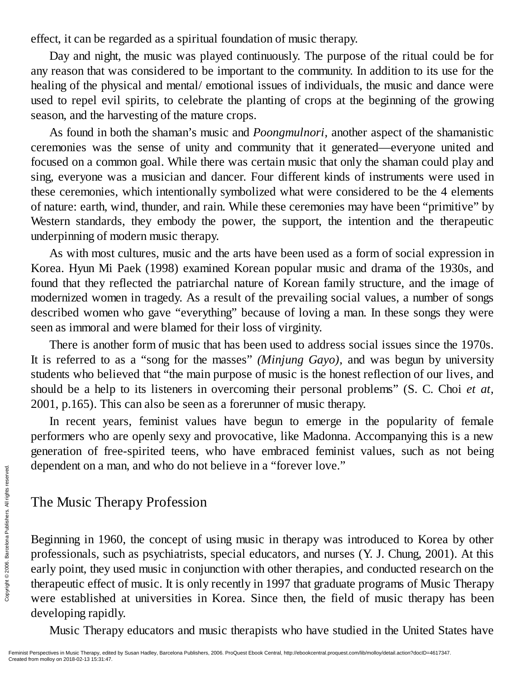effect, it can be regarded as a spiritual foundation of music therapy.

Day and night, the music was played continuously. The purpose of the ritual could be for any reason that was considered to be important to the community. In addition to its use for the healing of the physical and mental/ emotional issues of individuals, the music and dance were used to repel evil spirits, to celebrate the planting of crops at the beginning of the growing season, and the harvesting of the mature crops.

As found in both the shaman's music and *Poongmulnori,* another aspect of the shamanistic ceremonies was the sense of unity and community that it generated—everyone united and focused on a common goal. While there was certain music that only the shaman could play and sing, everyone was a musician and dancer. Four different kinds of instruments were used in these ceremonies, which intentionally symbolized what were considered to be the 4 elements of nature: earth, wind, thunder, and rain. While these ceremonies may have been "primitive" by Western standards, they embody the power, the support, the intention and the therapeutic underpinning of modern music therapy.

As with most cultures, music and the arts have been used as a form of social expression in Korea. Hyun Mi Paek (1998) examined Korean popular music and drama of the 1930s, and found that they reflected the patriarchal nature of Korean family structure, and the image of modernized women in tragedy. As a result of the prevailing social values, a number of songs described women who gave "everything" because of loving a man. In these songs they were seen as immoral and were blamed for their loss of virginity.

There is another form of music that has been used to address social issues since the 1970s. It is referred to as a "song for the masses" *(Minjung Gayo),* and was begun by university students who believed that "the main purpose of music is the honest reflection of our lives, and should be a help to its listeners in overcoming their personal problems" (S. C. Choi *et at,* 2001, p.165). This can also be seen as a forerunner of music therapy.

In recent years, feminist values have begun to emerge in the popularity of female performers who are openly sexy and provocative, like Madonna. Accompanying this is a new generation of free-spirited teens, who have embraced feminist values, such as not being dependent on a man, and who do not believe in a "forever love."

### The Music Therapy Profession

Beginning in 1960, the concept of using music in therapy was introduced to Korea by other professionals, such as psychiatrists, special educators, and nurses (Y. J. Chung, 2001). At this early point, they used music in conjunction with other therapies, and conducted research on the therapeutic effect of music. It is only recently in 1997 that graduate programs of Music Therapy were established at universities in Korea. Since then, the field of music therapy has been developing rapidly. Exercise the **Created from molloy on 2018-02-13** 15:31:47.<br>
Feminist Perspectives in Music Therap.<br>
Feminist Perspectives in Music Therap.<br>
Created from molloy on 2018-02-13 15:31:47.

Music Therapy educators and music therapists who have studied in the United States have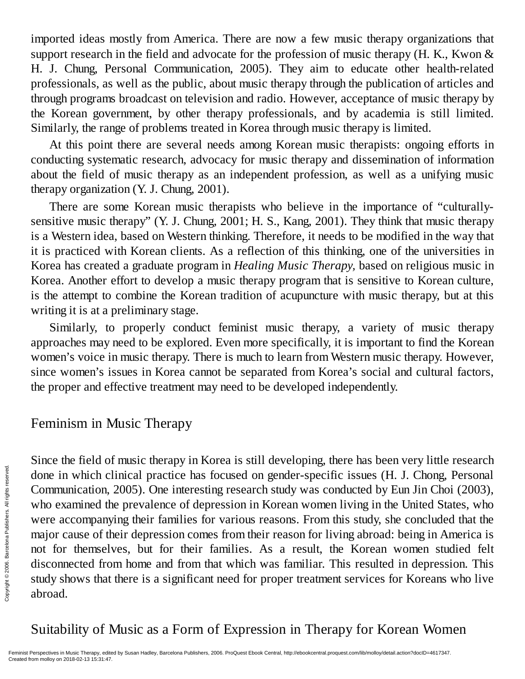imported ideas mostly from America. There are now a few music therapy organizations that support research in the field and advocate for the profession of music therapy (H. K., Kwon & H. J. Chung, Personal Communication, 2005). They aim to educate other health-related professionals, as well as the public, about music therapy through the publication of articles and through programs broadcast on television and radio. However, acceptance of music therapy by the Korean government, by other therapy professionals, and by academia is still limited. Similarly, the range of problems treated in Korea through music therapy is limited.

At this point there are several needs among Korean music therapists: ongoing efforts in conducting systematic research, advocacy for music therapy and dissemination of information about the field of music therapy as an independent profession, as well as a unifying music therapy organization (Y. J. Chung, 2001).

There are some Korean music therapists who believe in the importance of "culturallysensitive music therapy" (Y. J. Chung, 2001; H. S., Kang, 2001). They think that music therapy is a Western idea, based on Western thinking. Therefore, it needs to be modified in the way that it is practiced with Korean clients. As a reflection of this thinking, one of the universities in Korea has created a graduate program in *Healing Music Therapy,* based on religious music in Korea. Another effort to develop a music therapy program that is sensitive to Korean culture, is the attempt to combine the Korean tradition of acupuncture with music therapy, but at this writing it is at a preliminary stage.

Similarly, to properly conduct feminist music therapy, a variety of music therapy approaches may need to be explored. Even more specifically, it is important to find the Korean women's voice in music therapy. There is much to learn from Western music therapy. However, since women's issues in Korea cannot be separated from Korea's social and cultural factors, the proper and effective treatment may need to be developed independently.

### Feminism in Music Therapy

Since the field of music therapy in Korea is still developing, there has been very little research done in which clinical practice has focused on gender-specific issues (H. J. Chong, Personal Communication, 2005). One interesting research study was conducted by Eun Jin Choi (2003), who examined the prevalence of depression in Korean women living in the United States, who were accompanying their families for various reasons. From this study, she concluded that the major cause of their depression comes from their reason for living abroad: being in America is not for themselves, but for their families. As a result, the Korean women studied felt disconnected from home and from that which was familiar. This resulted in depression. This study shows that there is a significant need for proper treatment services for Koreans who live abroad. From molecular communication,<br>
who examined the were accompany major cause of the model of the model of the model of the model of the study shows that abroad.<br>
Suitability of  $\Gamma$ <br>
Feminist Perspectives in Music Therapy,

Suitability of Music as a Form of Expression in Therapy for Korean Women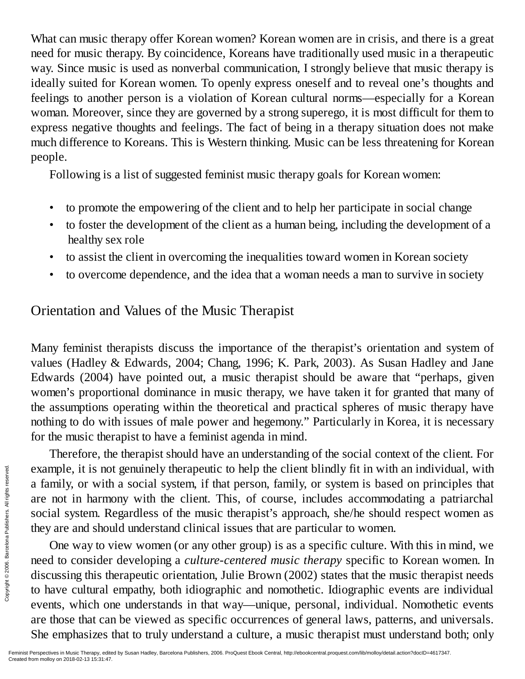What can music therapy offer Korean women? Korean women are in crisis, and there is a great need for music therapy. By coincidence, Koreans have traditionally used music in a therapeutic way. Since music is used as nonverbal communication, I strongly believe that music therapy is ideally suited for Korean women. To openly express oneself and to reveal one's thoughts and feelings to another person is a violation of Korean cultural norms—especially for a Korean woman. Moreover, since they are governed by a strong superego, it is most difficult for them to express negative thoughts and feelings. The fact of being in a therapy situation does not make much difference to Koreans. This is Western thinking. Music can be less threatening for Korean people.

Following is a list of suggested feminist music therapy goals for Korean women:

- to promote the empowering of the client and to help her participate in social change
- to foster the development of the client as a human being, including the development of a healthy sex role
- to assist the client in overcoming the inequalities toward women in Korean society
- to overcome dependence, and the idea that a woman needs a man to survive in society

# Orientation and Values of the Music Therapist

Many feminist therapists discuss the importance of the therapist's orientation and system of values (Hadley & Edwards, 2004; Chang, 1996; K. Park, 2003). As Susan Hadley and Jane Edwards (2004) have pointed out, a music therapist should be aware that "perhaps, given women's proportional dominance in music therapy, we have taken it for granted that many of the assumptions operating within the theoretical and practical spheres of music therapy have nothing to do with issues of male power and hegemony." Particularly in Korea, it is necessary for the music therapist to have a feminist agenda in mind.

Therefore, the therapist should have an understanding of the social context of the client. For example, it is not genuinely therapeutic to help the client blindly fit in with an individual, with a family, or with a social system, if that person, family, or system is based on principles that are not in harmony with the client. This, of course, includes accommodating a patriarchal social system. Regardless of the music therapist's approach, she/he should respect women as they are and should understand clinical issues that are particular to women.

One way to view women (or any other group) is as a specific culture. With this in mind, we need to consider developing a *culture-centered music therapy* specific to Korean women. In discussing this therapeutic orientation, Julie Brown (2002) states that the music therapist needs to have cultural empathy, both idiographic and nomothetic. Idiographic events are individual events, which one understands in that way—unique, personal, individual. Nomothetic events are those that can be viewed as specific occurrences of general laws, patterns, and universals. She emphasizes that to truly understand a culture, a music therapist must understand both; only Example, it is no<br>
a family, or with<br>
are not in harm<br>
social system. R<br>
they are and shou<br>
One way to v<br>
meed to consider<br>
discussing this th<br>
to have cultural<br>
events, which or<br>
are those that can<br>
She emphasizes in Mus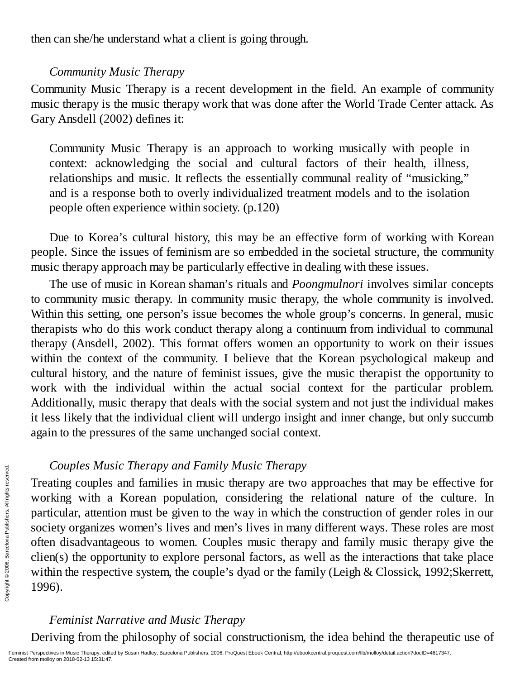then can she/he understand what a client is going through.

### *Community Music Therapy*

Community Music Therapy is a recent development in the field. An example of community music therapy is the music therapy work that was done after the World Trade Center attack. As Gary Ansdell (2002) defines it:

Community Music Therapy is an approach to working musically with people in context: acknowledging the social and cultural factors of their health, illness, relationships and music. It reflects the essentially communal reality of "musicking," and is a response both to overly individualized treatment models and to the isolation people often experience within society. (p.120)

Due to Korea's cultural history, this may be an effective form of working with Korean people. Since the issues of feminism are so embedded in the societal structure, the community music therapy approach may be particularly effective in dealing with these issues.

The use of music in Korean shaman's rituals and *Poongmulnori* involves similar concepts to community music therapy. In community music therapy, the whole community is involved. Within this setting, one person's issue becomes the whole group's concerns. In general, music therapists who do this work conduct therapy along a continuum from individual to communal therapy (Ansdell, 2002). This format offers women an opportunity to work on their issues within the context of the community. I believe that the Korean psychological makeup and cultural history, and the nature of feminist issues, give the music therapist the opportunity to work with the individual within the actual social context for the particular problem. Additionally, music therapy that deals with the social system and not just the individual makes it less likely that the individual client will undergo insight and inner change, but only succumb again to the pressures of the same unchanged social context.

### *Couples Music Therapy and Family Music Therapy*

Treating couples and families in music therapy are two approaches that may be effective for working with a Korean population, considering the relational nature of the culture. In particular, attention must be given to the way in which the construction of gender roles in our society organizes women's lives and men's lives in many different ways. These roles are most often disadvantageous to women. Couples music therapy and family music therapy give the clien(s) the opportunity to explore personal factors, as well as the interactions that take place within the respective system, the couple's dyad or the family (Leigh & Clossick, 1992;Skerrett, 1996). Couples Mus<br>  $\frac{1}{2}$ <br>  $\frac{1}{2}$ <br>  $\frac{1}{2}$ <br>  $\frac{1}{2}$ <br>  $\frac{1}{2}$ <br>
society organizes<br>
often disadvanta<br>
clien(s) the oppo<br>
within the respect<br>  $\frac{1}{2}$ <br>  $\frac{1}{2}$ <br>  $\frac{1}{2}$ <br>  $\frac{1}{2}$ <br>  $\frac{1}{2}$ <br>  $\frac{1}{2}$ <br>  $\frac{1}{2}$ <br>

### *Feminist Narrative and Music Therapy*

Deriving from the philosophy of social constructionism, the idea behind the therapeutic use of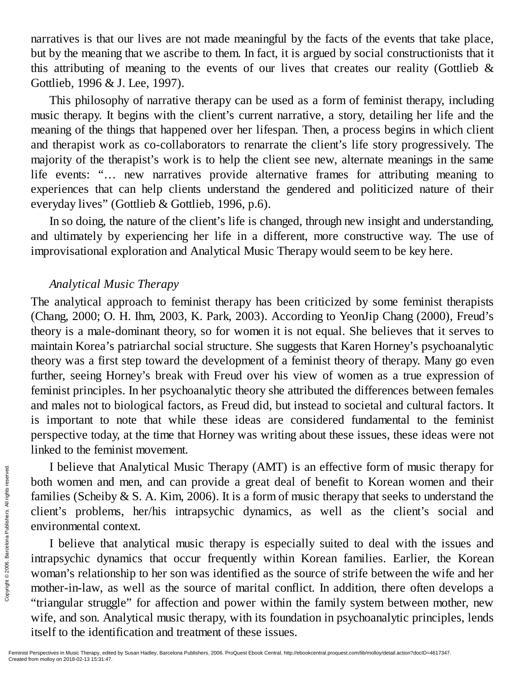narratives is that our lives are not made meaningful by the facts of the events that take place, but by the meaning that we ascribe to them. In fact, it is argued by social constructionists that it this attributing of meaning to the events of our lives that creates our reality (Gottlieb & Gottlieb, 1996 & J. Lee, 1997).

This philosophy of narrative therapy can be used as a form of feminist therapy, including music therapy. It begins with the client's current narrative, a story, detailing her life and the meaning of the things that happened over her lifespan. Then, a process begins in which client and therapist work as co-collaborators to renarrate the client's life story progressively. The majority of the therapist's work is to help the client see new, alternate meanings in the same life events: "… new narratives provide alternative frames for attributing meaning to experiences that can help clients understand the gendered and politicized nature of their everyday lives" (Gottlieb & Gottlieb, 1996, p.6).

In so doing, the nature of the client's life is changed, through new insight and understanding, and ultimately by experiencing her life in a different, more constructive way. The use of improvisational exploration and Analytical Music Therapy would seem to be key here.

### *Analytical Music Therapy*

The analytical approach to feminist therapy has been criticized by some feminist therapists (Chang, 2000; O. H. Ihm, 2003, K. Park, 2003). According to YeonJip Chang (2000), Freud's theory is a male-dominant theory, so for women it is not equal. She believes that it serves to maintain Korea's patriarchal social structure. She suggests that Karen Horney's psychoanalytic theory was a first step toward the development of a feminist theory of therapy. Many go even further, seeing Horney's break with Freud over his view of women as a true expression of feminist principles. In her psychoanalytic theory she attributed the differences between females and males not to biological factors, as Freud did, but instead to societal and cultural factors. It is important to note that while these ideas are considered fundamental to the feminist perspective today, at the time that Horney was writing about these issues, these ideas were not linked to the feminist movement.

I believe that Analytical Music Therapy (AMT) is an effective form of music therapy for both women and men, and can provide a great deal of benefit to Korean women and their families (Scheiby & S. A. Kim, 2006). It is a form of music therapy that seeks to understand the client's problems, her/his intrapsychic dynamics, as well as the client's social and environmental context.

I believe that analytical music therapy is especially suited to deal with the issues and intrapsychic dynamics that occur frequently within Korean families. Earlier, the Korean woman's relationship to her son was identified as the source of strife between the wife and her mother-in-law, as well as the source of marital conflict. In addition, there often develops a "triangular struggle" for affection and power within the family system between mother, new wife, and son. Analytical music therapy, with its foundation in psychoanalytic principles, lends itself to the identification and treatment of these issues. From molloy on 2018-02-13 15:31:47.<br>
Experience in the contract of the contract of the contract of the contract of the contract of the contract of the contract  $\epsilon$  created from molloy on 2018-02-13 15:31:47.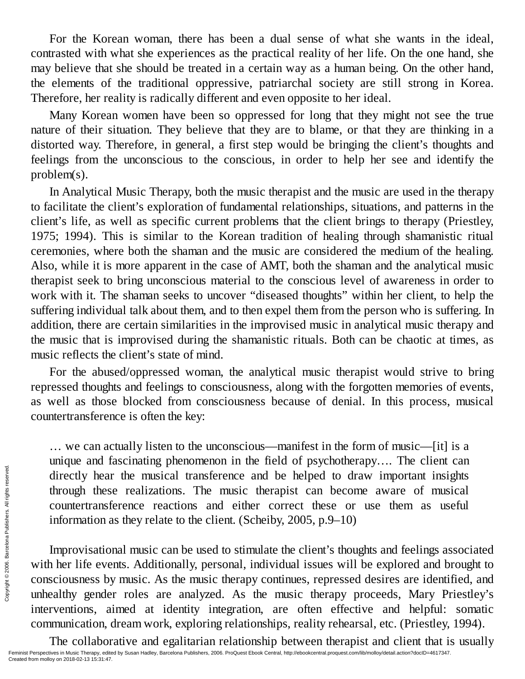For the Korean woman, there has been a dual sense of what she wants in the ideal, contrasted with what she experiences as the practical reality of her life. On the one hand, she may believe that she should be treated in a certain way as a human being. On the other hand, the elements of the traditional oppressive, patriarchal society are still strong in Korea. Therefore, her reality is radically different and even opposite to her ideal.

Many Korean women have been so oppressed for long that they might not see the true nature of their situation. They believe that they are to blame, or that they are thinking in a distorted way. Therefore, in general, a first step would be bringing the client's thoughts and feelings from the unconscious to the conscious, in order to help her see and identify the problem(s).

In Analytical Music Therapy, both the music therapist and the music are used in the therapy to facilitate the client's exploration of fundamental relationships, situations, and patterns in the client's life, as well as specific current problems that the client brings to therapy (Priestley, 1975; 1994). This is similar to the Korean tradition of healing through shamanistic ritual ceremonies, where both the shaman and the music are considered the medium of the healing. Also, while it is more apparent in the case of AMT, both the shaman and the analytical music therapist seek to bring unconscious material to the conscious level of awareness in order to work with it. The shaman seeks to uncover "diseased thoughts" within her client, to help the suffering individual talk about them, and to then expel them from the person who is suffering. In addition, there are certain similarities in the improvised music in analytical music therapy and the music that is improvised during the shamanistic rituals. Both can be chaotic at times, as music reflects the client's state of mind.

For the abused/oppressed woman, the analytical music therapist would strive to bring repressed thoughts and feelings to consciousness, along with the forgotten memories of events, as well as those blocked from consciousness because of denial. In this process, musical countertransference is often the key:

… we can actually listen to the unconscious—manifest in the form of music—[it] is a unique and fascinating phenomenon in the field of psychotherapy…. The client can directly hear the musical transference and be helped to draw important insights through these realizations. The music therapist can become aware of musical countertransference reactions and either correct these or use them as useful information as they relate to the client. (Scheiby, 2005, p.9–10)

Improvisational music can be used to stimulate the client's thoughts and feelings associated with her life events. Additionally, personal, individual issues will be explored and brought to consciousness by music. As the music therapy continues, repressed desires are identified, and unhealthy gender roles are analyzed. As the music therapy proceeds, Mary Priestley's interventions, aimed at identity integration, are often effective and helpful: somatic communication, dream work, exploring relationships, reality rehearsal, etc. (Priestley, 1994). From molloy on 2018-02-13 15:31:47.<br>
Created from molloy on 2018-02-13 15:31:47.<br>
Created from molloy on 2018-02-13 15:31:47.

The collaborative and egalitarian relationship between therapist and client that is usually Feminist Perspectives in Music Therapy, edited by Susan Hadley, Barcelona Publishers, 2006. ProQuest Ebook Central, http://ebookcentral.proquest.com/lib/molloy/detail.action?docID=4617347.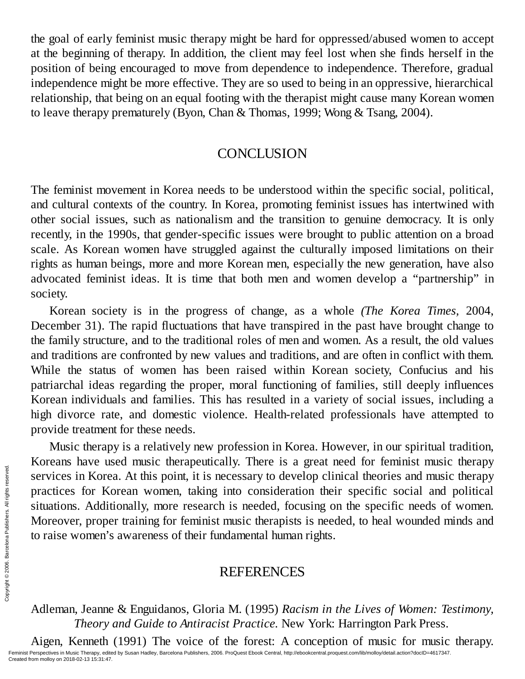the goal of early feminist music therapy might be hard for oppressed/abused women to accept at the beginning of therapy. In addition, the client may feel lost when she finds herself in the position of being encouraged to move from dependence to independence. Therefore, gradual independence might be more effective. They are so used to being in an oppressive, hierarchical relationship, that being on an equal footing with the therapist might cause many Korean women to leave therapy prematurely (Byon, Chan & Thomas, 1999; Wong & Tsang, 2004).

### **CONCLUSION**

The feminist movement in Korea needs to be understood within the specific social, political, and cultural contexts of the country. In Korea, promoting feminist issues has intertwined with other social issues, such as nationalism and the transition to genuine democracy. It is only recently, in the 1990s, that gender-specific issues were brought to public attention on a broad scale. As Korean women have struggled against the culturally imposed limitations on their rights as human beings, more and more Korean men, especially the new generation, have also advocated feminist ideas. It is time that both men and women develop a "partnership" in society.

Korean society is in the progress of change, as a whole *(The Korea Times,* 2004, December 31). The rapid fluctuations that have transpired in the past have brought change to the family structure, and to the traditional roles of men and women. As a result, the old values and traditions are confronted by new values and traditions, and are often in conflict with them. While the status of women has been raised within Korean society, Confucius and his patriarchal ideas regarding the proper, moral functioning of families, still deeply influences Korean individuals and families. This has resulted in a variety of social issues, including a high divorce rate, and domestic violence. Health-related professionals have attempted to provide treatment for these needs.

Music therapy is a relatively new profession in Korea. However, in our spiritual tradition, Koreans have used music therapeutically. There is a great need for feminist music therapy services in Korea. At this point, it is necessary to develop clinical theories and music therapy practices for Korean women, taking into consideration their specific social and political situations. Additionally, more research is needed, focusing on the specific needs of women. Moreover, proper training for feminist music therapists is needed, to heal wounded minds and to raise women's awareness of their fundamental human rights. Exervices in Kore<br>
Services for Kendal<br>
Situations. Addit<br>
Moreover, prope<br>
to raise women's<br>
services<br>
services respectives in Multishers.<br>
Adleman, Jeanne<br> *Theory*<br>
Aigen, Kenneth<br>
Feminist Prepetitives in Music Theory

### REFERENCES

Adleman, Jeanne & Enguidanos, Gloria M. (1995) *Racism in the Lives of Women: Testimony, Theory and Guide to Antiracist Practice.* New York: Harrington Park Press.

Aigen, Kenneth (1991) The voice of the forest: A conception of music for music therapy. Feminist Perspectives in Music Therapy, edited by Susan Hadley, Barcelona Publishers, 2006. ProQuest Ebook Central, http://ebookcentral.proquest.com/lib/molloy/detail.action?docID=4617347.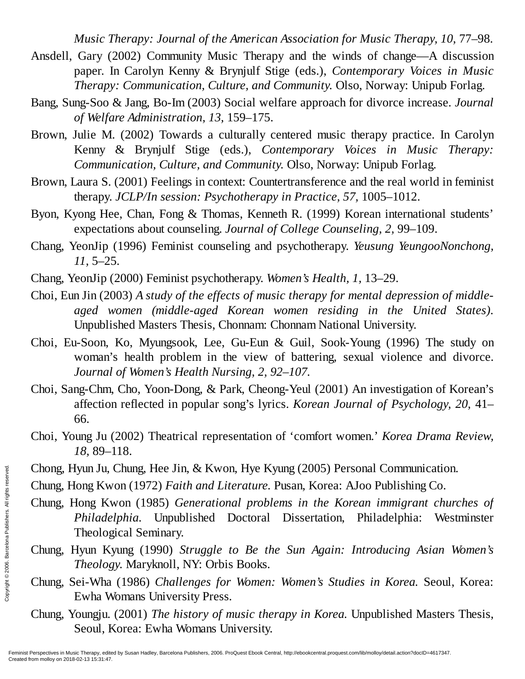*Music Therapy: Journal of the American Association for Music Therapy, 10,* 77–98.

- Ansdell, Gary (2002) Community Music Therapy and the winds of change—A discussion paper. In Carolyn Kenny & Brynjulf Stige (eds.), *Contemporary Voices in Music Therapy: Communication, Culture, and Community.* Olso, Norway: Unipub Forlag.
- Bang, Sung-Soo & Jang, Bo-Im (2003) Social welfare approach for divorce increase. *Journal of Welfare Administration, 13,* 159–175.
- Brown, Julie M. (2002) Towards a culturally centered music therapy practice. In Carolyn Kenny & Brynjulf Stige (eds.), *Contemporary Voices in Music Therapy: Communication, Culture, and Community.* Olso, Norway: Unipub Forlag.
- Brown, Laura S. (2001) Feelings in context: Countertransference and the real world in feminist therapy. *JCLP/In session: Psychotherapy in Practice, 57,* 1005–1012.
- Byon, Kyong Hee, Chan, Fong & Thomas, Kenneth R. (1999) Korean international students' expectations about counseling. *Journal of College Counseling, 2,* 99–109.
- Chang, YeonJip (1996) Feminist counseling and psychotherapy. *Yeusung YeungooNonchong, 11,* 5–25.
- Chang, YeonJip (2000) Feminist psychotherapy. *Women's Health, 1,* 13–29.
- Choi, Eun Jin (2003) *A study of the effects of music therapy for mental depression of middleaged women (middle-aged Korean women residing in the United States).* Unpublished Masters Thesis, Chonnam: Chonnam National University.
- Choi, Eu-Soon, Ko, Myungsook, Lee, Gu-Eun & Guil, Sook-Young (1996) The study on woman's health problem in the view of battering, sexual violence and divorce. *Journal of Women's Health Nursing, 2, 92–107.*
- Choi, Sang-Chm, Cho, Yoon-Dong, & Park, Cheong-Yeul (2001) An investigation of Korean's affection reflected in popular song's lyrics. *Korean Journal of Psychology, 20,* 41– 66.
- Choi, Young Ju (2002) Theatrical representation of 'comfort women.' *Korea Drama Review, 18,* 89–118.
- Chong, Hyun Ju, Chung, Hee Jin, & Kwon, Hye Kyung (2005) Personal Communication.
- Chung, Hong Kwon (1972) *Faith and Literature.* Pusan, Korea: AJoo Publishing Co.
- Chung, Hong Kwon (1985) *Generational problems in the Korean immigrant churches of Philadelphia.* Unpublished Doctoral Dissertation, Philadelphia: Westminster Theological Seminary. Exerces in Music Therapy, edite<br>
From mollow Chung, Hong Kv<br>
Philade<br>
Theolog<br>
Chung, Hyun Ky<br>
Theolog<br>
Chung, Sei-Wha<br>
Ewha W<br>
Chung, Youngju.<br>
Seoul, F<br>
Feminist Perspectives in Music Therapy, edite<br>
Created from molloy
	- Chung, Hyun Kyung (1990) *Struggle to Be the Sun Again: Introducing Asian Women's Theology.* Maryknoll, NY: Orbis Books.
	- Chung, Sei-Wha (1986) *Challenges for Women: Women's Studies in Korea.* Seoul, Korea: Ewha Womans University Press.
	- Chung, Youngju. (2001) *The history of music therapy in Korea.* Unpublished Masters Thesis, Seoul, Korea: Ewha Womans University.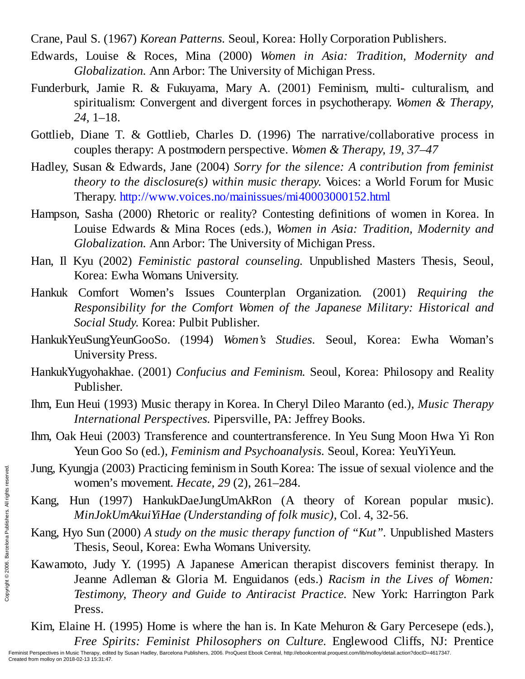Crane, Paul S. (1967) *Korean Patterns.* Seoul, Korea: Holly Corporation Publishers.

- Edwards, Louise & Roces, Mina (2000) *Women in Asia: Tradition, Modernity and Globalization.* Ann Arbor: The University of Michigan Press.
- Funderburk, Jamie R. & Fukuyama, Mary A. (2001) Feminism, multi- culturalism, and spiritualism: Convergent and divergent forces in psychotherapy. *Women & Therapy, 24,* 1–18.
- Gottlieb, Diane T. & Gottlieb, Charles D. (1996) The narrative/collaborative process in couples therapy: A postmodern perspective. *Women & Therapy, 19, 37–47*
- Hadley, Susan & Edwards, Jane (2004) *Sorry for the silence: A contribution from feminist theory to the disclosure(s) within music therapy.* Voices: a World Forum for Music Therapy. http://www.voices.no/mainissues/mi40003000152.html
- Hampson, Sasha (2000) Rhetoric or reality? Contesting definitions of women in Korea. In Louise Edwards & Mina Roces (eds.), *Women in Asia: Tradition, Modernity and Globalization.* Ann Arbor: The University of Michigan Press.
- Han, Il Kyu (2002) *Feministic pastoral counseling.* Unpublished Masters Thesis, Seoul, Korea: Ewha Womans University.
- Hankuk Comfort Women's Issues Counterplan Organization. (2001) *Requiring the Responsibility for the Comfort Women of the Japanese Military: Historical and Social Study.* Korea: Pulbit Publisher.
- HankukYeuSungYeunGooSo. (1994) *Women's Studies.* Seoul, Korea: Ewha Woman's University Press.
- HankukYugyohakhae. (2001) *Confucius and Feminism.* Seoul, Korea: Philosopy and Reality Publisher.
- Ihm, Eun Heui (1993) Music therapy in Korea. In Cheryl Dileo Maranto (ed.), *Music Therapy International Perspectives.* Pipersville, PA: Jeffrey Books.
- Ihm, Oak Heui (2003) Transference and countertransference. In Yeu Sung Moon Hwa Yi Ron Yeun Goo So (ed.), *Feminism and Psychoanalysis.* Seoul, Korea: YeuYiYeun.
- Jung, Kyungja (2003) Practicing feminism in South Korea: The issue of sexual violence and the women's movement. *Hecate, 29* (2), 261–284.
- Kang, Hun (1997) HankukDaeJungUmAkRon (A theory of Korean popular music). *MinJokUmAkuiYiHae (Understanding of folk music),* Col. 4, 32-56.
- Kang, Hyo Sun (2000) *A study on the music therapy function of "Kut".* Unpublished Masters Thesis, Seoul, Korea: Ewha Womans University.
- Kawamoto, Judy Y. (1995) A Japanese American therapist discovers feminist therapy. In Jeanne Adleman & Gloria M. Enguidanos (eds.) *Racism in the Lives of Women: Testimony, Theory and Guide to Antiracist Practice.* New York: Harrington Park Press. Jung, Kyungja (2003) Practicing feminism in South Korea: The issue of sexual violenc<br>
women's movement. *Hecate, 29* (2), 261–284.<br>
Kang, Hun (1997) HankukDaeJungUmAkRon (A theory of Korean popular<br> *MinJokUmAkuiYiHae (Und* 
	- Kim, Elaine H. (1995) Home is where the han is. In Kate Mehuron & Gary Percesepe (eds.), *Free Spirits: Feminist Philosophers on Culture.* Englewood Cliffs, NJ: Prentice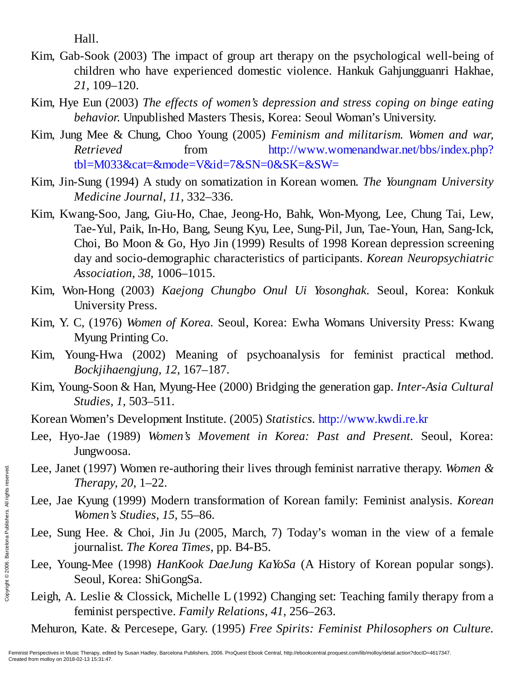Hall.

- Kim, Gab-Sook (2003) The impact of group art therapy on the psychological well-being of children who have experienced domestic violence. Hankuk Gahjungguanri Hakhae, *21,* 109–120.
- Kim, Hye Eun (2003) *The effects of women's depression and stress coping on binge eating behavior.* Unpublished Masters Thesis, Korea: Seoul Woman's University.
- Kim, Jung Mee & Chung, Choo Young (2005) *Feminism and militarism. Women and war, Retrieved* from http://www.womenandwar.net/bbs/index.php? tbl=M033&cat=&mode=V&id=7&SN=0&SK=&SW=
- Kim, Jin-Sung (1994) A study on somatization in Korean women. *The Youngnam University Medicine Journal, 11,* 332–336.
- Kim, Kwang-Soo, Jang, Giu-Ho, Chae, Jeong-Ho, Bahk, Won-Myong, Lee, Chung Tai, Lew, Tae-Yul, Paik, In-Ho, Bang, Seung Kyu, Lee, Sung-Pil, Jun, Tae-Youn, Han, Sang-Ick, Choi, Bo Moon & Go, Hyo Jin (1999) Results of 1998 Korean depression screening day and socio-demographic characteristics of participants. *Korean Neuropsychiatric Association, 38,* 1006–1015.
- Kim, Won-Hong (2003) *Kaejong Chungbo Onul Ui Yosonghak.* Seoul, Korea: Konkuk University Press.
- Kim, Y. C, (1976) *Women of Korea.* Seoul, Korea: Ewha Womans University Press: Kwang Myung Printing Co.
- Kim, Young-Hwa (2002) Meaning of psychoanalysis for feminist practical method. *Bockjihaengjung, 12,* 167–187.
- Kim, Young-Soon & Han, Myung-Hee (2000) Bridging the generation gap. *Inter-Asia Cultural Studies, 1,* 503–511.
- Korean Women's Development Institute. (2005) *Statistics.* http://www.kwdi.re.kr
- Lee, Hyo-Jae (1989) *Women's Movement in Korea: Past and Present.* Seoul, Korea: Jungwoosa.
- Lee, Janet (1997) Women re-authoring their lives through feminist narrative therapy. *Women & Therapy, 20,* 1–22.
- Lee, Jae Kyung (1999) Modern transformation of Korean family: Feminist analysis. *Korean Women's Studies, 15,* 55–86.
- Lee, Sung Hee. & Choi, Jin Ju (2005, March, 7) Today's woman in the view of a female journalist. *The Korea Times,* pp. B4-B5.
- Lee, Young-Mee (1998) *HanKook DaeJung KaYoSa* (A History of Korean popular songs). Seoul, Korea: ShiGongSa. Erentinst Perspectives in Music Therapy<br>
Created from molloy on 2018-02-13 15:31:47.<br>
Created from molloy on 2018-02-13 15:31:47.<br>
Created from molloy on 2018-02-13 15:31:47.
	- Leigh, A. Leslie & Clossick, Michelle L (1992) Changing set: Teaching family therapy from a feminist perspective. *Family Relations, 41,* 256–263.

Mehuron, Kate. & Percesepe, Gary. (1995) *Free Spirits: Feminist Philosophers on Culture.*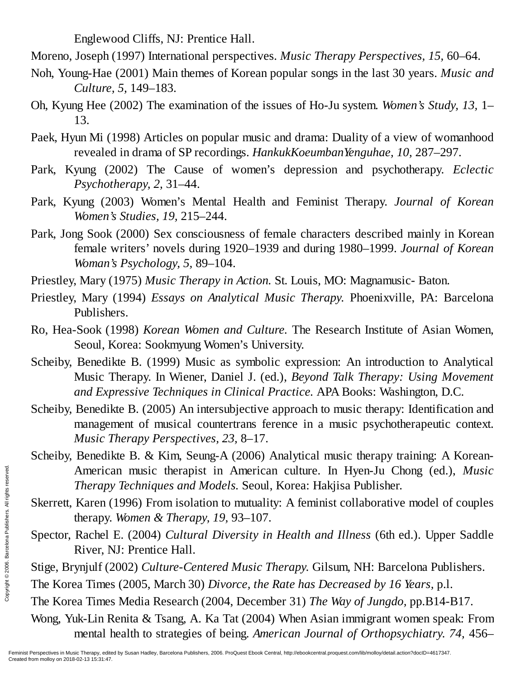Englewood Cliffs, NJ: Prentice Hall.

Moreno, Joseph (1997) International perspectives. *Music Therapy Perspectives, 15,* 60–64.

- Noh, Young-Hae (2001) Main themes of Korean popular songs in the last 30 years. *Music and Culture, 5,* 149–183.
- Oh, Kyung Hee (2002) The examination of the issues of Ho-Ju system. *Women's Study, 13,* 1– 13.
- Paek, Hyun Mi (1998) Articles on popular music and drama: Duality of a view of womanhood revealed in drama of SP recordings. *HankukKoeumbanYenguhae, 10,* 287–297.
- Park, Kyung (2002) The Cause of women's depression and psychotherapy. *Eclectic Psychotherapy, 2,* 31–44.
- Park, Kyung (2003) Women's Mental Health and Feminist Therapy. *Journal of Korean Women's Studies, 19,* 215–244.
- Park, Jong Sook (2000) Sex consciousness of female characters described mainly in Korean female writers' novels during 1920–1939 and during 1980–1999. *Journal of Korean Woman's Psychology, 5,* 89–104.
- Priestley, Mary (1975) *Music Therapy in Action.* St. Louis, MO: Magnamusic- Baton.
- Priestley, Mary (1994) *Essays on Analytical Music Therapy.* Phoenixville, PA: Barcelona Publishers.
- Ro, Hea-Sook (1998) *Korean Women and Culture.* The Research Institute of Asian Women, Seoul, Korea: Sookmyung Women's University.
- Scheiby, Benedikte B. (1999) Music as symbolic expression: An introduction to Analytical Music Therapy. In Wiener, Daniel J. (ed.), *Beyond Talk Therapy: Using Movement and Expressive Techniques in Clinical Practice.* APA Books: Washington, D.C.
- Scheiby, Benedikte B. (2005) An intersubjective approach to music therapy: Identification and management of musical countertrans ference in a music psychotherapeutic context. *Music Therapy Perspectives, 23,* 8–17.
- Scheiby, Benedikte B. & Kim, Seung-A (2006) Analytical music therapy training: A Korean-American music therapist in American culture. In Hyen-Ju Chong (ed.), *Music Therapy Techniques and Models.* Seoul, Korea: Hakjisa Publisher.
- Skerrett, Karen (1996) From isolation to mutuality: A feminist collaborative model of couples therapy. *Women & Therapy, 19,* 93–107.
- Spector, Rachel E. (2004) *Cultural Diversity in Health and Illness* (6th ed.). Upper Saddle River, NJ: Prentice Hall.
- Stige, Brynjulf (2002) *Culture-Centered Music Therapy.* Gilsum, NH: Barcelona Publishers.
- The Korea Times (2005, March 30) *Divorce, the Rate has Decreased by 16 Years,* p.l.
- The Korea Times Media Research (2004, December 31) *The Way of Jungdo,* pp.B14-B17.
- Wong, Yuk-Lin Renita & Tsang, A. Ka Tat (2004) When Asian immigrant women speak: From mental health to strategies of being. *American Journal of Orthopsychiatry. 74,* 456– Exercett, Karen (therapy<br>
Engine Skerrett, Karen (therapy.<br>
Spector, Rachel<br>
River, N<br>
Stige, Brynjulf (2<br>
The Korea Times<br>
Wong, Yuk-Lin R<br>
mental Preminist Perspectives in Music Therapy, edite<br>
Created from molloy on 201